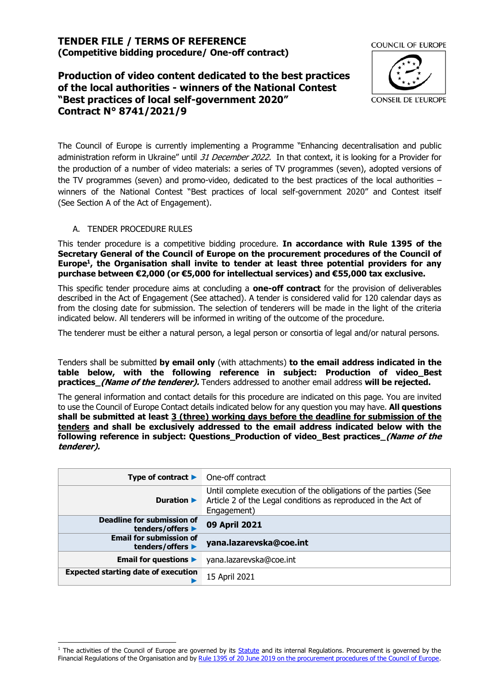## **TENDER FILE / TERMS OF REFERENCE (Competitive bidding procedure/ One-off contract)**

# **Production of video content dedicated to the best practices of the local authorities - winners of the National Contest "Best practices of local self-government 2020" Contract N° 8741/2021/9**



The Council of Europe is currently implementing a Programme "Enhancing decentralisation and public administration reform in Ukraine" until 31 December 2022. In that context, it is looking for a Provider for the production of a number of video materials: a series of TV programmes (seven), adopted versions of the TV programmes (seven) and promo-video, dedicated to the best practices of the local authorities – winners of the National Contest "Best practices of local self-government 2020" and Contest itself (See Section A of the Act of Engagement).

## A. TENDER PROCEDURE RULES

This tender procedure is a competitive bidding procedure. **In accordance with Rule 1395 of the Secretary General of the Council of Europe on the procurement procedures of the Council of Europe<sup>1</sup> , the Organisation shall invite to tender at least three potential providers for any purchase between €2,000 (or €5,000 for intellectual services) and €55,000 tax exclusive.**

This specific tender procedure aims at concluding a **one-off contract** for the provision of deliverables described in the Act of Engagement (See attached). A tender is considered valid for 120 calendar days as from the closing date for submission. The selection of tenderers will be made in the light of the criteria indicated below. All tenderers will be informed in writing of the outcome of the procedure.

The tenderer must be either a natural person, a legal person or consortia of legal and/or natural persons.

Tenders shall be submitted **by email only** (with attachments) **to the email address indicated in the table below, with the following reference in subject: Production of video\_Best practices** (Name of the tenderer). Tenders addressed to another email address will be rejected.

The general information and contact details for this procedure are indicated on this page. You are invited to use the Council of Europe Contact details indicated below for any question you may have. **All questions shall be submitted at least 3 (three) working days before the deadline for submission of the tenders and shall be exclusively addressed to the email address indicated below with the following reference in subject: Questions\_Production of video\_Best practices\_(Name of the tenderer).**

| Type of contract $\blacktriangleright$                | One-off contract                                                                                                                                |
|-------------------------------------------------------|-------------------------------------------------------------------------------------------------------------------------------------------------|
| Duration $\blacktriangleright$                        | Until complete execution of the obligations of the parties (See<br>Article 2 of the Legal conditions as reproduced in the Act of<br>Engagement) |
| <b>Deadline for submission of</b><br>tenders/offers ▶ | 09 April 2021                                                                                                                                   |
| <b>Email for submission of</b><br>tenders/offers ▶    | yana.lazarevska@coe.int                                                                                                                         |
| Email for questions $\blacktriangleright$             | yana.lazarevska@coe.int                                                                                                                         |
| <b>Expected starting date of execution</b>            | 15 April 2021                                                                                                                                   |

<sup>&</sup>lt;sup>1</sup> The activities of the Council of Europe are governed by its **Statute** and its internal Regulations. Procurement is governed by the Financial Regulations of the Organisation and b[y Rule 1395 of 20 June 2019 on the procurement procedures of the Council of Europe.](https://search.coe.int/intranet/Pages/result_details.aspx?ObjectId=090000168094853e)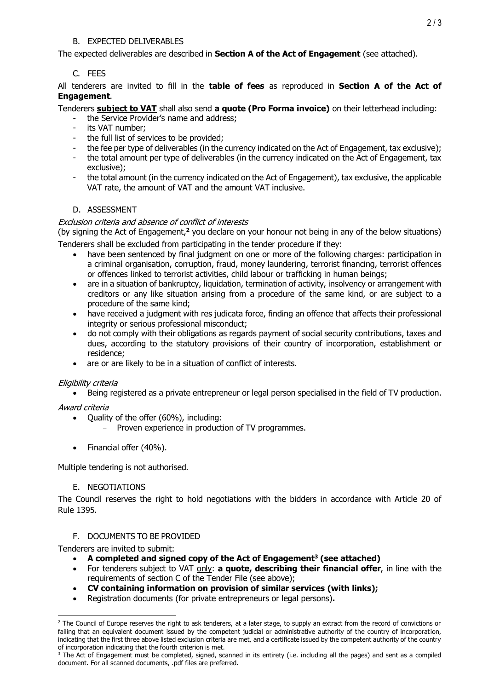## B. EXPECTED DELIVERABLES

The expected deliverables are described in **Section A of the Act of Engagement** (see attached).

## C. FEES

All tenderers are invited to fill in the **table of fees** as reproduced in **Section A of the Act of Engagement**.

## Tenderers **subject to VAT** shall also send **a quote (Pro Forma invoice)** on their letterhead including:

- the Service Provider's name and address;
- its VAT number;
- the full list of services to be provided;
- the fee per type of deliverables (in the currency indicated on the Act of Engagement, tax exclusive);
- the total amount per type of deliverables (in the currency indicated on the Act of Engagement, tax exclusive);
- the total amount (in the currency indicated on the Act of Engagement), tax exclusive, the applicable VAT rate, the amount of VAT and the amount VAT inclusive.

## D. ASSESSMENT

#### Exclusion criteria and absence of conflict of interests

(by signing the Act of Engagement,**<sup>2</sup>** you declare on your honour not being in any of the below situations) Tenderers shall be excluded from participating in the tender procedure if they:

- have been sentenced by final judgment on one or more of the following charges: participation in a criminal organisation, corruption, fraud, money laundering, terrorist financing, terrorist offences or offences linked to terrorist activities, child labour or trafficking in human beings;
- are in a situation of bankruptcy, liquidation, termination of activity, insolvency or arrangement with creditors or any like situation arising from a procedure of the same kind, or are subject to a procedure of the same kind;
- have received a judgment with res judicata force, finding an offence that affects their professional integrity or serious professional misconduct;
- do not comply with their obligations as regards payment of social security contributions, taxes and dues, according to the statutory provisions of their country of incorporation, establishment or residence;
- are or are likely to be in a situation of conflict of interests.

#### Eligibility criteria

• Being registered as a private entrepreneur or legal person specialised in the field of TV production.

#### Award criteria

- Quality of the offer (60%), including:
	- Proven experience in production of TV programmes.
- Financial offer (40%).

Multiple tendering is not authorised.

#### E. NEGOTIATIONS

The Council reserves the right to hold negotiations with the bidders in accordance with Article 20 of Rule 1395.

#### F. DOCUMENTS TO BE PROVIDED

Tenderers are invited to submit:

- **A completed and signed copy of the Act of Engagement<sup>3</sup> (see attached)**
- For tenderers subject to VAT only: **a quote, describing their financial offer**, in line with the requirements of section C of the Tender File (see above);
- **CV containing information on provision of similar services (with links);**
- Registration documents (for private entrepreneurs or legal persons)**.**

 $2$  The Council of Europe reserves the right to ask tenderers, at a later stage, to supply an extract from the record of convictions or failing that an equivalent document issued by the competent judicial or administrative authority of the country of incorporation, indicating that the first three above listed exclusion criteria are met, and a certificate issued by the competent authority of the country of incorporation indicating that the fourth criterion is met.

<sup>&</sup>lt;sup>3</sup> The Act of Engagement must be completed, signed, scanned in its entirety (i.e. including all the pages) and sent as a compiled document. For all scanned documents, .pdf files are preferred.